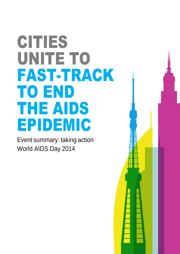# CITIES UNITE TO FAST-TRACK TO END THE AIDS EPIDEMIC

Event summary: taking action World AIDS Day 2014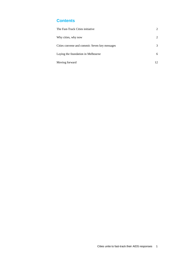# **Contents**

| The Fast-Track Cities initiative              | 2  |
|-----------------------------------------------|----|
| Why cities, why now                           | 2  |
| Cities convene and commit: Seven key messages | 3  |
| Laying the foundation in Melbourne            | 6  |
| Moving forward                                | 12 |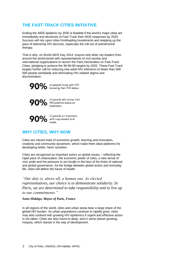# **THE FAST-TRACK CITIES INITIATIVE**

Ending the AIDS epidemic by 2030 is feasible if the world's major cities act immediately and decisively to Fast-Track their AIDS responses by 2020. Success will rely upon cities frontloading investments and stepping up the pace of delivering HIV services, especially the roll-out of antiretroviral therapy.

That is why, on World AIDS Day 2014, mayors and other city leaders from around the world joined with representatives of civil society and international organizations to launch the Paris Declaration on Fast-Track Cities, pledging to achieve the 90-90-90 targets by 2020. These Fast-Track targets further call for reducing new adult HIV infections to fewer than 500 000 people worldwide and eliminating HIV-related stigma and discrimination.



90% of people living with HIV

90% of people who know their<br>treatment. treatment.

90% of people on treatment loads.

# **WHY CITIES, WHY NOW**

Cities are vibrant hubs of economic growth, learning and innovation, creativity and community dynamism, which make them ideal platforms for developing better, fairer societies.

Cities are recognized as important actors on global issues – reflecting the rapid pace of urbanization, the economic power of cities, a new sense of civic pride and the pressure to act locally in the face of the limits of national and global governance. As the bridge between global action and everyday life, cities will define the future of health.

*"Our duty is, above all, a human one. As elected representatives, our choice is to demonstrate solidarity. In Paris, we are determined to take responsibility and to live up to our commitments."*

# *Anne Hidalgo, Mayor of Paris, France*

In all regions of the world, cities and urban areas bear a large share of the global HIV burden. As urban populations continue to rapidly grow, cities may also contend with growing HIV epidemics if urgent and effective action is not taken. Cities are also home to deep, and in some places growing, inequity, which stands in the way of development.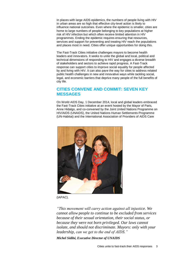In places with large AIDS epidemics, the numbers of people living with HIV in urban areas are so high that effective city-level action is likely to influence national outcomes. Even where the epidemic is smaller, cities are home to large numbers of people belonging to key populations at higher risk of HIV infection but which often receive limited attention in HIV programmes. Ending the epidemic requires ensuring that resources, services and support for preventing and treating HIV reach the populations and places most in need. Cities offer unique opportunities for doing this.

The Fast-Track Cities initiative challenges mayors to become health leaders and innovators. It seeks to unite the global and local, political and technical dimensions of responding to HIV and engages a diverse breadth of stakeholders and sectors to achieve rapid progress. A Fast-Track response can support cities to improve social equality for people affected by and living with HIV. It can also pave the way for cities to address related public health challenges in new and innovative ways while tackling social, legal, and economic barriers that deprive many people of the full benefits of city life.

# **CITIES CONVENE AND COMMIT: SEVEN KEY MESSAGES**

On World AIDS Day, 1 December 2014, local and global leaders embraced the Fast-Track Cities initiative at an event hosted by the Mayor of Paris, Anne Hidalgo, and co-convened by the Joint United Nations Programme on HIV/AIDS (UNAIDS), the United Nations Human Settlements Programme (UN-Habitat) and the International Association of Providers of AIDS Care



<sup>(</sup>IAPAC).

*"This movement will carry action against all injustice. We cannot allow people to continue to be excluded from services because of their sexual orientation, their social status, or because they were not born privileged. Our laws cannot isolate, and should not discriminate. Mayors: only with your leadership, can we get to the end of AIDS."*

*Michel Sidibé, Executive Director of UNAIDS*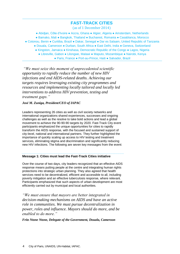# **FAST-TRACK CITIES**

(as of 1 December 2014)

● Abidjan, Côte d'Ivoire ● Accra, Ghana ● Algier, Algeria ● Amsterdam, Netherlands

● Bamako, Mali ● Bangkok, Thailand ● Bucharest, Romania ● Casablanca, Morocco

- Cotonou, Benin Curitiba, Brazil Dakar, Senegal Dar es Salaam, United Republic of Tanzania
	- Douala, Cameroon Durban, South Africa East Delhi, India Geneva, Switzerland
		- Kingston, Jamaica Kinshasa, Democratic Republic of the Congo Lagos, Nigeria
			- Libreville, Gabon Lilongwe, Malawi Maputo, Mozambique Nairobi, Kenya ● Paris, France ● Port-au-Prince, Haiti ● Salvador, Brazil

*"We must seize this moment of unprecedented scientific opportunity to rapidly reduce the number of new HIV infections and end AIDS-related deaths. Achieving our targets requires leveraging existing city programmes and resources and implementing locally tailored and locally led interventions to address HIV prevention, testing and treatment gaps."*

*José M. Zuniga, President/CEO of IAPAC*

Leaders representing 26 cities as well as civil society networks and international organizations shared experiences, successes and ongoing challenges as well as the resolve to take bold actions and lead a global movement to achieve the 90-90-90 targets by 2020. Fast-Track City event participants emphasized the unique opportunities for cities to rapidly transform the AIDS response, with the focused and sustained support of city-level, national and international partners. They further highlighted the importance of quickly scaling up access to HIV testing and treatment services, eliminating stigma and discrimination and significantly reducing new HIV infections. The following are seven key messages from the event:

## **Message 1: Cities must lead the Fast-Track Cities initiative**

Over the course of two days, city leaders recognized that an effective AIDS response means putting people at the centre and integrating human rights protections into strategic urban planning. They also agreed that health services need to be decentralized, efficient and accessible to all, including poverty mitigation and an effective tuberculosis response, where relevant. Participants emphasized that such aspects of urban development are most efficiently carried out by municipal and local authorities.

*"We must ensure that mayors are better integrated in decision-making mechanisms on AIDS and have an active role in communities. We must pursue decentralization in power, roles and influence. Mayors should do more, and be enabled to do more."*

*Fritz Ntone Ntone, Delegate of the Government, Douala, Cameroon*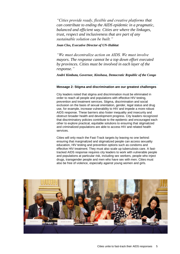*"Cities provide ready, flexible and creative platforms that can contribute to ending the AIDS epidemic in a pragmatic, balanced and efficient way. Cities are where the linkages, trust, respect and inclusiveness that are part of any sustainable solution can be built."*

## *Joan Clos, Executive Director of UN-Habitat*

*"We must decentralize action on AIDS. We must involve mayors. The response cannot be a top down effort executed by provinces. Cities must be involved in each layer of the response."*

*André Kimbuta, Governor, Kinshasa, Democratic Republic of the Congo*

## **Message 2: Stigma and discrimination are our greatest challenges**

City leaders noted that stigma and discrimination must be eliminated in order to reach all people and populations with effective HIV testing, prevention and treatment services. Stigma, discrimination and social exclusion on the basis of sexual orientation, gender, legal status and drug use, for example, increase vulnerability to HIV and impede a more robust AIDS response. These barriers also foster inequality and insecurity and obstruct broader health and development progress. City leaders recognized that discriminatory policies contribute to the epidemic and encouraged each other to explore practical, equitable solutions to ensuring that stigmatized and criminalized populations are able to access HIV and related health services.

Cities will only reach the Fast-Track targets by leaving no one behind: ensuring that marginalized and stigmatized people can access sexuality education, HIV testing and prevention options such as condoms and effective HIV treatment. They must also scale up tuberculosis care. A fasttracked AIDS response requires city leaders to work with vulnerable people and populations at particular risk, including sex workers, people who inject drugs, transgender people and men who have sex with men. Cities must also be free of violence, especially against young women and girls.

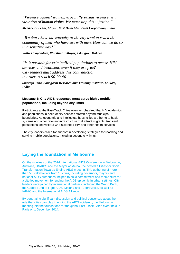*"Violence against women, especially sexual violence, is a violation of human rights. We must stop this injustice." Meenakshi Lekhi, Mayor, East Delhi Municipal Corporation, India*

*"We don't have the capacity at the city level to reach the community of men who have sex with men. How can we do so in a sensitive way?"*

*Willie Chapondera, Worshipful Mayor, Lilongwe, Malawi*

*"Is it possible for criminalized populations to access HIV services and treatment, even if they are free? City leaders must address this contradiction in order to reach 90-90-90."*

*Smarajit Jana, Sonagachi Research and Training Institute, Kolkata, India*

**Message 3: City AIDS responses must serve highly mobile populations, including beyond city limits**

Participants at the Fast-Track Cities event emphasized that HIV epidemics and populations in need of city services stretch beyond municipal boundaries. As economic and intellectual hubs, cities are home to health systems and other relevant infrastructure that attract migrants, transient populations and visitors who also need HIV and other health services.

The city leaders called for support in developing strategies for reaching and serving mobile populations, including beyond city limits.

# **Laying the foundation in Melbourne**

On the sidelines of the 2014 International AIDS Conference in Melbourne, Australia, UNAIDS and the Mayor of Melbourne hosted a Cities for Social Transformation Towards Ending AIDS meeting. This gathering of more than 50 stakeholders from 18 cities, including governors, mayors and national AIDS authorities, helped to build commitment and momentum for a city-led movement for ending the AIDS epidemic in urban settings. City leaders were joined by international partners, including the World Bank, the Global Fund to Fight AIDS, Malaria and Tuberculosis, as well as IAPAC and the International AIDS Alliance.

By generating significant discussion and political consensus about the role that cities can play in ending the AIDS epidemic, the Melbourne meeting laid the foundations for the global Fast-Track Cities event held in Paris on 1 December 2014.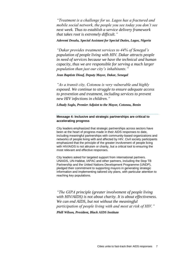*"Treatment is a challenge for us. Lagos has a fractured and mobile social network, the people you see today you don't see next week. Thus to establish a service delivery framework that takes root is extremely difficult."*

## *Aderemi Desalu, Special Assistant for Special Duties, Lagos, Nigeria*

*"Dakar provides treatment services to 44% of Senegal's population of people living with HIV. Dakar attracts people in need of services because we have the technical and human capacity, thus we are responsible for serving a much larger population than just our city's inhabitants."*

*Jean Baptiste Diouf, Deputy Mayor, Dakar, Senegal*

*"As a transit city, Cotonou is very vulnerable and highly exposed. We continue to struggle to ensure adequate access to prevention and treatment, including services to prevent new HIV infections in children."*

*Léhady Soglo, Premier Adjoint to the Mayor, Cotonou, Benin*

# **Message 4: Inclusive and strategic partnerships are critical to accelerating progress**

City leaders emphasized that strategic partnerships across sectors have been at the heart of progress made in their AIDS responses to date, including meaningful partnerships with community-based organizations and networks of people living with and affected by HIV. Civil society participants emphasized that the principle of the greater involvement of people living with HIV/AIDS is not altruism or charity, but a critical tool to ensuring the most relevant and effective responses.

City leaders asked for targeted support from international partners. UNAIDS, UN-Habitat, IAPAC and other partners, including the Stop TB Partnership and the United Nations Development Programme (UNDP), pledged their commitment to supporting mayors in generating strategic information and implementing tailored city plans, with particular attention to reaching key populations.

*"The GIPA principle (greater involvement of people living with HIV/AIDS) is not about charity. It is about effectiveness. We can end AIDS, but not without the meaningful participation of people living with and most at risk of HIV."*

*Phill Wilson, President, Black AIDS Institute*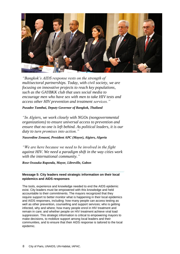

*"Bangkok's AIDS response rests on the strength of multisectoral partnerships. Today, with civil society, we are focusing on innovative projects to reach key populations, such as the GAYBKK club that uses social media to encourage men who have sex with men to take HIV tests and access other HIV prevention and treatment services."*

*Pusadee Tamthai, Deputy Governor of Bangkok, Thailand*

*"In Algiers, we work closely with NGOs (nongovernmental organizations) to ensure universal access to prevention and ensure that no one is left behind. As political leaders, it is our duty to turn promises into action."*

*Nassredine Zenasni, President APC (Mayor), Algiers, Algeria*

*"We are here because we need to be involved in the fight against HIV. We need a paradigm shift in the way cities work with the international community."*

*Rose Ossouka Raponda, Mayor, Libreville, Gabon*

## **Message 5: City leaders need strategic information on their local epidemics and AIDS responses**

The tools, experience and knowledge needed to end the AIDS epidemic exist. City leaders must be empowered with this knowledge and held accountable to their commitments. The mayors recognized that they require support to better monitor what is happening in their local epidemics and AIDS responses, including: how many people can access testing as well as other prevention, counselling and support services; who is getting infected, why and where; how many people enrol in HIV treatment and remain in care; and whether people on HIV treatment achieve viral load suppression. This strategic information is critical to empowering mayors to make decisions, to mobilize support among local leaders and their communities, and to ensure that their AIDS response is tailored to the local epidemic.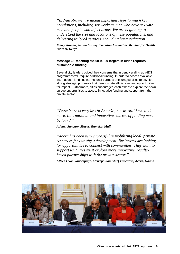*"In Nairobi, we are taking important steps to reach key populations, including sex workers, men who have sex with men and people who inject drugs. We are beginning to understand the size and locations of these populations, and delivering tailored services, including harm reduction."*

*Mercy Kamau, Acting County Executive Committee Member for Health, Nairobi, Kenya*

# **Message 6: Reaching the 90-90-90 targets in cities requires sustainable funding**

Several city leaders voiced their concerns that urgently scaling up AIDS programmes will require additional funding. In order to access available international funding, international partners encouraged cities to develop strong strategic proposals that demonstrate efficiencies and opportunities for impact. Furthermore, cities encouraged each other to explore their own unique opportunities to access innovative funding and support from the private sector.

*"Prevalence is very low in Bamako, but we still have to do more. International and innovative sources of funding must be found."*

*Adama Sangare, Mayor, Bamako, Mali*

*"Accra has been very successful in mobilizing local, private resources for our city's development. Businesses are looking for opportunities to connect with communities. They want to support us. Cities must explore more innovative, resultsbased partnerships with the private sector."*

*Alfred Okoe Vanderpuije, Metropolitan Chief Executive, Accra, Ghana* 

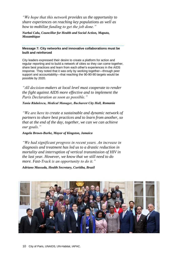*"We hope that this network provides us the opportunity to share experiences on reaching key populations as well as how to mobilize funding to get the job done."*

*Nurbai Calu, Councillor for Health and Social Action, Maputo, Mozambique*

**Message 7: City networks and innovative collaborations must be built and reinforced** 

City leaders expressed their desire to create a platform for action and regular reporting and to build a network of cities so they can come together, share best practices and learn from each other's experiences in the AIDS response. They noted that it was only by working together—through peer support and accountability—that reaching the 90-90-90 targets would be possible by 2020.

*"All decision-makers at local level must cooperate to render the fight against AIDS more effective and to implement the Paris Declaration as soon as possible."*

*Tania Rădulescu, Medical Manager, Bucharest City Hall, Romania*

*"We are here to create a sustainable and dynamic network of partners to share best practices and to learn from another, so that at the end of the day, together, we can we can achieve our goals."*

*Angela Brown-Burke, Mayor of Kingston, Jamaica*

*"We had significant progress in recent years. An increase in diagnosis and treatment has led us to a drastic reduction in mortality and interruption of vertical transmission of HIV in the last year. However, we know that we still need to do more. Fast-Track is an opportunity to do it."*

*Adriano Massuda, Health Secretary, Curitiba, Brazil*

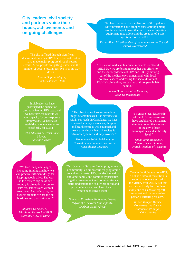**City leaders, civil society and partners voice their hopes, achievements and on-going challenges**

"The city suffered through significant discrimination when HIV first broke out. But we have made major progress through recent efforts. More people are getting tested, and the number of people testing positive is on its way down."

quadrupled the number of centres delivering HIV tests, and hour capacity for post-exposure prophylaxis. We have also established a reference centre specifically for LGBT."

*Celia Oliveira de Jesus, Vice-Mayor, Salvador, Brazil*

"The objective we have set ourselves might be ambitious but it is nevertheless within our reach. In Casablanca, we have a national strategy where every hospital and health centre is well equipped and we are very lucky that civil society is extremely dynamic and fully involved."

*Mohammed Sajid, Président du Conseil de la commune urbaine de Casablanca, Morocco*

"We face many challenges, including funding and how we can procure sufficient drugs for keeping people alive. The war in the eastern region of our country is disrupting access to services. Patients are without treatment. And, of course, the biggest problem we are facing is stigma and discrimination."

*Viktoriia Derkach, All-Ukrainian Network of PLH Ukraine, Kiev, Ukraine*

"Our Operation Sukuma Sakhe programme is a community-led empowerment programme to address poverty, HIV, gender inequality and other family and community priorities. Together government and communities can better understand the challenges faced and provide integrated services closer to where people need them."

*Numvuzo Fransisca Shabalala, Deputy Mayor of eThekwini Municipality, Durban, South Africa*

"We have witnessed a stabilization of the epidemic. New infections have dropped substantially among people who inject drugs thanks to cleaner injecting equipment, methadone and the creation of a safe injection room in 2001."

*Esther Alder, Vice-President of the Administrative Council, Geneva, Switzerland*

"This event marks an historical moment: on World AIDS Day we are bringing together our efforts to end the duel epidemics of HIV and TB. By moving out of the medical environment and, with local political leaders, addressing the social drivers of TB/HIV coinfection, we can reach those people left behind."

> *Lucica Ditiu, Executive Director, Stop TB Partnership*

> > "To ensure local leadership of the AIDS response, we have established permanent standing committees in each of the city's three municipalities and at the city level."

*Didas John Massaburi, Mayor, Dar es Salaam, United Republic of Tanzania*

a holistic internal revolution is person's suffering his own."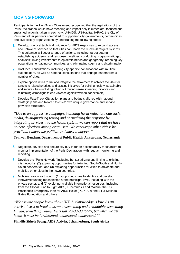# **MOVING FORWARD**

Participants in the Fast-Track Cities event recognized that the aspirations of the Paris Declaration would have meaning and impact only if immediate, focused and sustained action is taken in each city. UNAIDS, UN-Habitat, IAPAC, the City of Paris and other partners committed to supporting city governments, communities and civil society organizations by undertaking the following steps:

- **1.** Develop practical technical guidance for AIDS responses to expand access and uptake of services so that cities can reach the 90-90-90 targets by 2020. This guidance will cover a range of actions, including: target setting; establishing epidemic and response baselines; conducting programmatic gap analyses; linking investments to epidemic needs and geography; reaching key populations; engaging communities; and eliminating stigma and discrimination.
- **2.** Host local consultations, including city-specific consultations with multiple stakeholders, as well as national consultations that engage leaders from a number of cities.
- **3.** Explore opportunities to link and integrate the movement to achieve the 90-90-90 targets to related priorities and existing initiatives for building healthy, sustainable and secure cities (including rolling out multi-disease screening initiatives and reinforcing campaigns to end violence against women, for example).
- **4.** Develop Fast-Track City action plans and budgets aligned with national strategic plans and tailored to cities' own unique governance and service provision structures.

*"Due to an aggressive campaign, including harm reduction, outreach, media, de-stigmatizing testing and normalizing the response by integrating services into the health system, we can report that we have no new infections among drug users. We encourage other cities: be practical, remove the politics, and make it happen."* 

## **Tom van Benthem, Department of Public Health, Amsterdam, Netherlands**

- **5.** Negotiate, develop and secure city buy-in for an accountability mechanism to monitor implementation of the Paris Declaration, with regular monitoring and reporting.
- **6.** Develop the "Paris Network," including by: (1) utilizing and linking to existing city networks; (2) exploring opportunities for twinning, South-South and North-South cooperation; and (3) exploring opportunities for cities to advocate and mobilize other cities in their own countries.
- **7.** Mobilize resources through: (1) supporting cities to identify and develop innovative funding mechanisms at the municipal level, including with the private sector; and (2) exploring available international resources, including from the Global Fund to Fight AIDS, Tuberculosis and Malaria, the US President's Emergency Plan for AIDS Relief (PEPFAR), the Bill & Melinda Gates Foundation and others.

*"We assume people know about HIV, but knowledge is low. As an activist, I seek to break it down to something understandable, something human, something young. Let's talk 90-90-90 today, but when we get home, it must be 'understand, understand, understand.'"*

## **Phindile Sithole Spong, AIDS Activist, Johannesburg, South Africa**